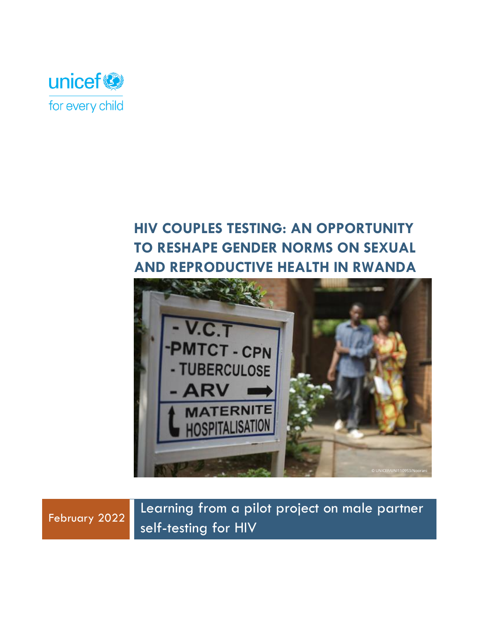

# **HIV COUPLES TESTING: AN OPPORTUNITY TO RESHAPE GENDER NORMS ON SEXUAL AND REPRODUCTIVE HEALTH IN RWANDA**





Learning from a pilot project on male partner self-testing for HIV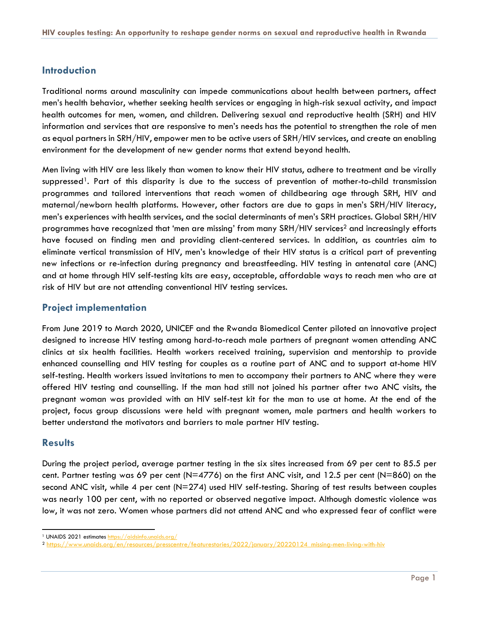## **Introduction**

Traditional norms around masculinity can impede communications about health between partners, affect men's health behavior, whether seeking health services or engaging in high-risk sexual activity, and impact health outcomes for men, women, and children. Delivering sexual and reproductive health (SRH) and HIV information and services that are responsive to men's needs has the potential to strengthen the role of men as equal partners in SRH/HIV, empower men to be active users of SRH/HIV services, and create an enabling environment for the development of new gender norms that extend beyond health.

Men living with HIV are less likely than women to know their HIV status, adhere to treatment and be virally suppressed<sup>1</sup>. Part of this disparity is due to the success of prevention of mother-to-child transmission programmes and tailored interventions that reach women of childbearing age through SRH, HIV and maternal/newborn health platforms. However, other factors are due to gaps in men's SRH/HIV literacy, men's experiences with health services, and the social determinants of men's SRH practices. Global SRH/HIV programmes have recognized that 'men are missing' from many SRH/HIV services<sup>2</sup> and increasingly efforts have focused on finding men and providing client-centered services. In addition, as countries aim to eliminate vertical transmission of HIV, men's knowledge of their HIV status is a critical part of preventing new infections or re-infection during pregnancy and breastfeeding. HIV testing in antenatal care (ANC) and at home through HIV self-testing kits are easy, acceptable, affordable ways to reach men who are at risk of HIV but are not attending conventional HIV testing services.

### **Project implementation**

From June 2019 to March 2020, UNICEF and the Rwanda Biomedical Center piloted an innovative project designed to increase HIV testing among hard-to-reach male partners of pregnant women attending ANC clinics at six health facilities. Health workers received training, supervision and mentorship to provide enhanced counselling and HIV testing for couples as a routine part of ANC and to support at-home HIV self-testing. Health workers issued invitations to men to accompany their partners to ANC where they were offered HIV testing and counselling. If the man had still not joined his partner after two ANC visits, the pregnant woman was provided with an HIV self-test kit for the man to use at home. At the end of the project, focus group discussions were held with pregnant women, male partners and health workers to better understand the motivators and barriers to male partner HIV testing.

#### **Results**

During the project period, average partner testing in the six sites increased from 69 per cent to 85.5 per cent. Partner testing was 69 per cent (N=4776) on the first ANC visit, and 12.5 per cent (N=860) on the second ANC visit, while 4 per cent (N=274) used HIV self-testing. Sharing of test results between couples was nearly 100 per cent, with no reported or observed negative impact. Although domestic violence was low, it was not zero. Women whose partners did not attend ANC and who expressed fear of conflict were

<sup>1</sup> UNAIDS 2021 estimates<https://aidsinfo.unaids.org/>

<sup>2</sup> [https://www.unaids.org/en/resources/presscentre/featurestories/2022/january/20220124\\_missing-men-living-with-hiv](https://www.unaids.org/en/resources/presscentre/featurestories/2022/january/20220124_missing-men-living-with-hiv)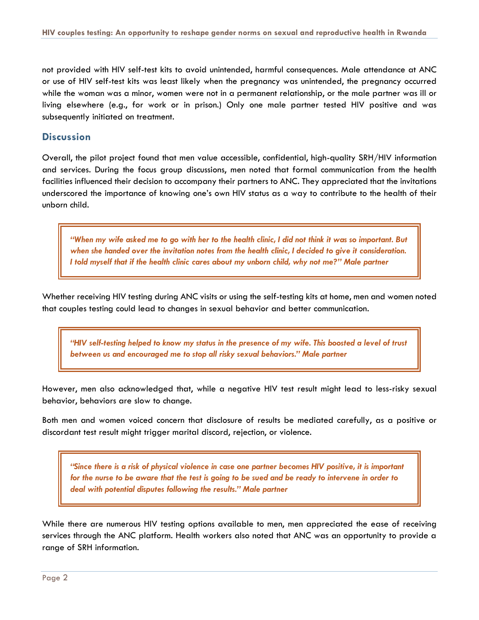not provided with HIV self-test kits to avoid unintended, harmful consequences. Male attendance at ANC or use of HIV self-test kits was least likely when the pregnancy was unintended, the pregnancy occurred while the woman was a minor, women were not in a permanent relationship, or the male partner was ill or living elsewhere (e.g., for work or in prison.) Only one male partner tested HIV positive and was subsequently initiated on treatment.

#### **Discussion**

Overall, the pilot project found that men value accessible, confidential, high-quality SRH/HIV information and services. During the focus group discussions, men noted that formal communication from the health facilities influenced their decision to accompany their partners to ANC. They appreciated that the invitations underscored the importance of knowing one's own HIV status as a way to contribute to the health of their unborn child.

*"When my wife asked me to go with her to the health clinic, I did not think it was so important. But when she handed over the invitation notes from the health clinic, I decided to give it consideration. I told myself that if the health clinic cares about my unborn child, why not me?" Male partner*

Whether receiving HIV testing during ANC visits or using the self-testing kits at home, men and women noted that couples testing could lead to changes in sexual behavior and better communication.

*"HIV self-testing helped to know my status in the presence of my wife. This boosted a level of trust between us and encouraged me to stop all risky sexual behaviors." Male partner*

However, men also acknowledged that, while a negative HIV test result might lead to less-risky sexual behavior, behaviors are slow to change.

Both men and women voiced concern that disclosure of results be mediated carefully, as a positive or discordant test result might trigger marital discord, rejection, or violence.

*"Since there is a risk of physical violence in case one partner becomes HIV positive, it is important for the nurse to be aware that the test is going to be sued and be ready to intervene in order to deal with potential disputes following the results." Male partner*

While there are numerous HIV testing options available to men, men appreciated the ease of receiving services through the ANC platform. Health workers also noted that ANC was an opportunity to provide a range of SRH information.